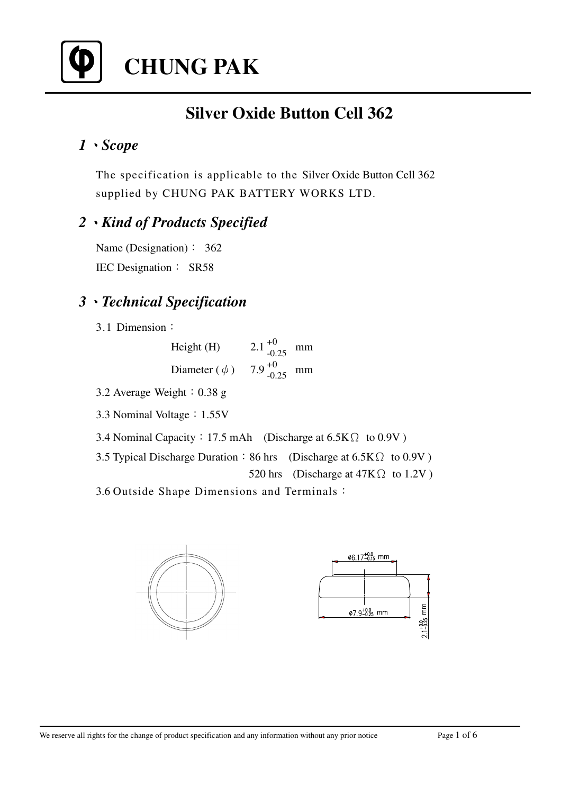

# **CHUNG PAK**

# **Silver Oxide Button Cell 362**

### *1Scope*

The specification is applicable to the Silver Oxide Button Cell 362 supplied by CHUNG PAK BATTERY WORKS LTD.

### *2Kind of Products Specified*

Name (Designation)  $\colon$  362 IEC Designation : SR58

### *3Technical Specification*

3.1 Dimension

Height (H)  $2.1^{+0}$  $^{+0}$ <sub>-0.25</sub> mm Diameter  $(\phi)$  7.9  $^{+0}$  $^{+0}$ <sub>-0.25</sub> mm

- 3.2 Average Weight $: 0.38$  g
- 3.3 Nominal Voltage: 1.55V
- 3.4 Nominal Capacity: 17.5 mAh (Discharge at  $6.5K\Omega$  to 0.9V)
- 3.5 Typical Discharge Duration  $\div 86$  hrs (Discharge at 6.5K  $\Omega$  to 0.9V ) 520 hrs (Discharge at  $47K\Omega$  to 1.2V)

3.6 Outside Shape Dimensions and Terminals

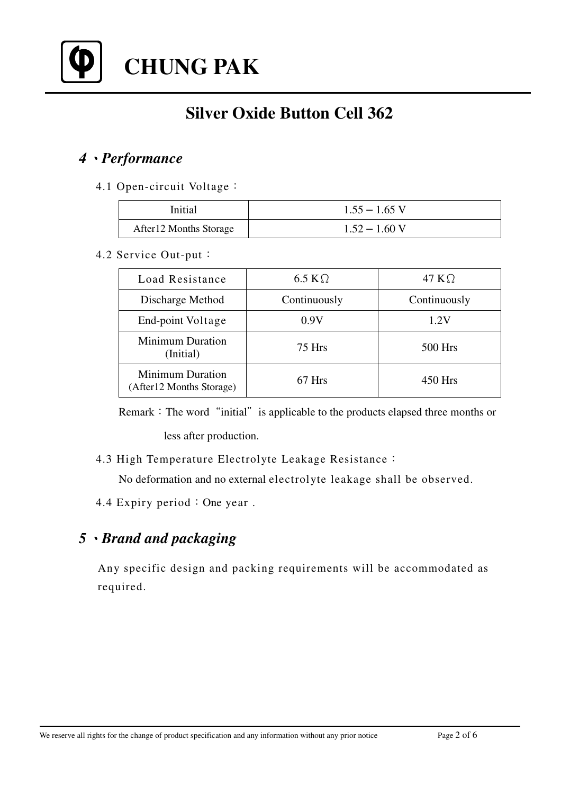

**CHUNG PAK**

# **Silver Oxide Button Cell 362**

### *4Performance*

#### 4.1 Open-circuit Voltage

| Initial                 | $1.55 - 1.65$ V |
|-------------------------|-----------------|
| After 12 Months Storage | $1.52 - 1.60$ V |

#### 4.2 Service Out-put

| Load Resistance                                      | 6.5 K $\Omega$ | 47 K $\Omega$ |
|------------------------------------------------------|----------------|---------------|
| Discharge Method                                     | Continuously   | Continuously  |
| End-point Voltage                                    | 0.9V           | 1.2V          |
| <b>Minimum Duration</b><br>(Initial)                 | 75 Hrs         | 500 Hrs       |
| <b>Minimum Duration</b><br>(After 12 Months Storage) | 67 Hrs         | 450 Hrs       |

Remark: The word "initial" is applicable to the products elapsed three months or less after production.

4.3 High Temperature Electrolyte Leakage Resistance

No deformation and no external electrolyte leakage shall be observed.

4.4 Expiry period: One year.

### *5Brand and packaging*

Any specific design and packing requirements will be accommodated as required.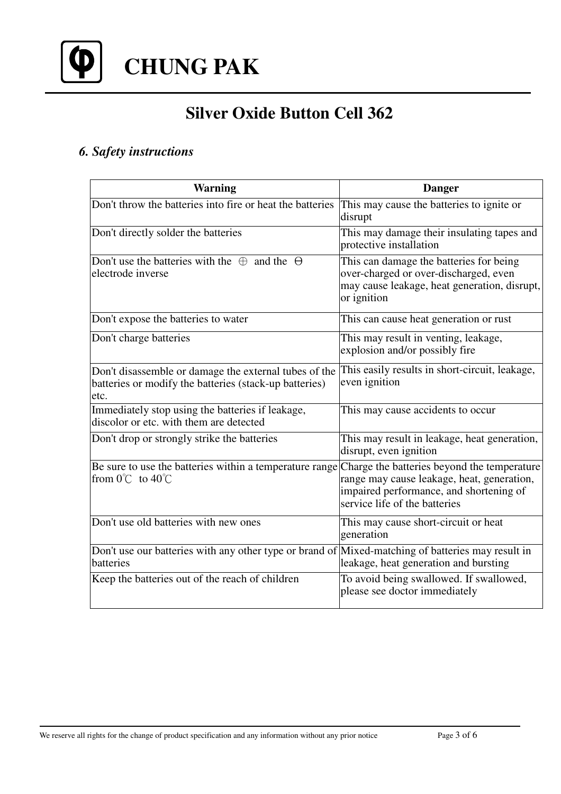

# **Silver Oxide Button Cell 362**

### *6. Safety instructions*

| <b>Warning</b>                                                                                                          | <b>Danger</b>                                                                                                                                                         |  |
|-------------------------------------------------------------------------------------------------------------------------|-----------------------------------------------------------------------------------------------------------------------------------------------------------------------|--|
| Don't throw the batteries into fire or heat the batteries                                                               | This may cause the batteries to ignite or<br>disrupt                                                                                                                  |  |
| Don't directly solder the batteries                                                                                     | This may damage their insulating tapes and<br>protective installation                                                                                                 |  |
| Don't use the batteries with the $\oplus$ and the $\ominus$<br>electrode inverse                                        | This can damage the batteries for being<br>over-charged or over-discharged, even<br>may cause leakage, heat generation, disrupt,<br>or ignition                       |  |
| Don't expose the batteries to water                                                                                     | This can cause heat generation or rust                                                                                                                                |  |
| Don't charge batteries                                                                                                  | This may result in venting, leakage,<br>explosion and/or possibly fire                                                                                                |  |
| Don't disassemble or damage the external tubes of the<br>batteries or modify the batteries (stack-up batteries)<br>etc. | This easily results in short-circuit, leakage,<br>even ignition                                                                                                       |  |
| Immediately stop using the batteries if leakage,<br>discolor or etc. with them are detected                             | This may cause accidents to occur                                                                                                                                     |  |
| Don't drop or strongly strike the batteries                                                                             | This may result in leakage, heat generation,<br>disrupt, even ignition                                                                                                |  |
| Be sure to use the batteries within a temperature range<br>from $0^{\circ}$ to $40^{\circ}$                             | Charge the batteries beyond the temperature<br>range may cause leakage, heat, generation,<br>impaired performance, and shortening of<br>service life of the batteries |  |
| Don't use old batteries with new ones                                                                                   | This may cause short-circuit or heat<br>generation                                                                                                                    |  |
| Don't use our batteries with any other type or brand of Mixed-matching of batteries may result in<br>batteries          | leakage, heat generation and bursting                                                                                                                                 |  |
| Keep the batteries out of the reach of children                                                                         | To avoid being swallowed. If swallowed,<br>please see doctor immediately                                                                                              |  |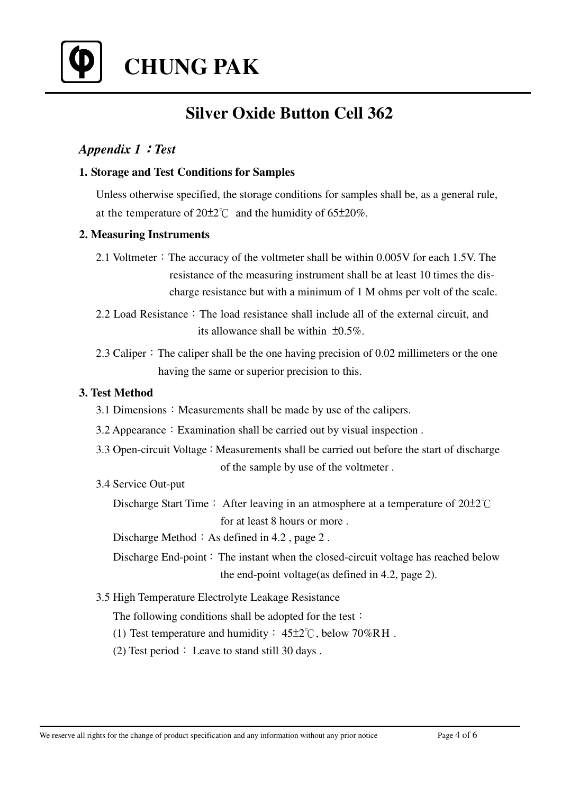

**CHUNG PAK**

# **Silver Oxide Button Cell 362**

#### *Appendix 1Test*

#### **1. Storage and Test Conditions for Samples**

Unless otherwise specified, the storage conditions for samples shall be, as a general rule, at the temperature of  $20\pm2^{\circ}$  and the humidity of 65 $\pm20\%$ .

#### **2. Measuring Instruments**

- 2.1 Voltmeter: The accuracy of the voltmeter shall be within  $0.005V$  for each 1.5V. The resistance of the measuring instrument shall be at least 10 times the discharge resistance but with a minimum of 1 M ohms per volt of the scale.
- 2.2 Load Resistance: The load resistance shall include all of the external circuit, and its allowance shall be within  $\pm 0.5\%$ .
- 2.3 Caliper  $\cdot$  The caliper shall be the one having precision of 0.02 millimeters or the one having the same or superior precision to this.

#### **3. Test Method**

- $3.1$  Dimensions: Measurements shall be made by use of the calipers.
- $3.2$  Appearance: Examination shall be carried out by visual inspection.
- $3.3$  Open-circuit Voltage: Measurements shall be carried out before the start of discharge of the sample by use of the voltmeter .
- 3.4 Service Out-put
	- Discharge Start Time : After leaving in an atmosphere at a temperature of  $20\pm2^{\circ}$ C for at least 8 hours or more .

Discharge Method  $\div$  As defined in 4.2, page 2.

- Discharge End-point: The instant when the closed-circuit voltage has reached below the end-point voltage(as defined in 4.2, page 2).
- 3.5 High Temperature Electrolyte Leakage Resistance

The following conditions shall be adopted for the test:

- (1) Test temperature and humidity :  $45\pm2^{\circ}$ C, below 70%RH.
- (2) Test period  $\colon$  Leave to stand still 30 days .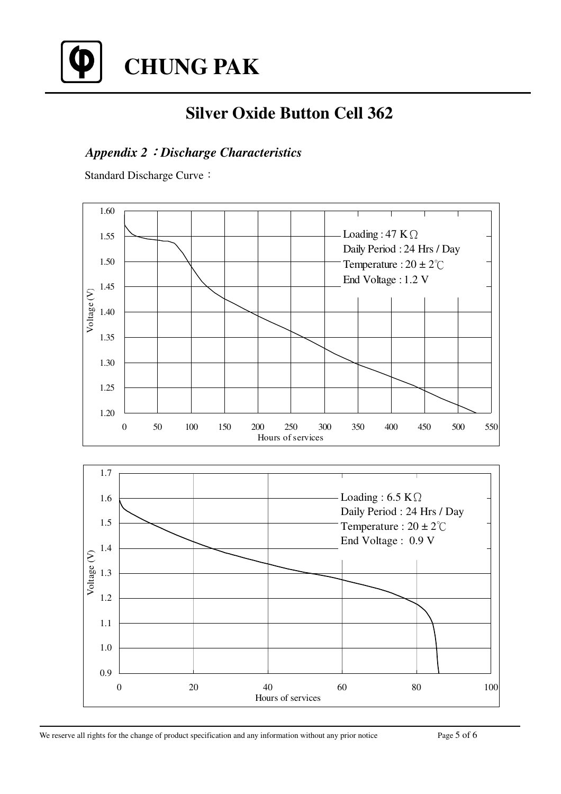

# **Silver Oxide Button Cell 362**

### *Appendix 2Discharge Characteristics*

Standard Discharge Curve